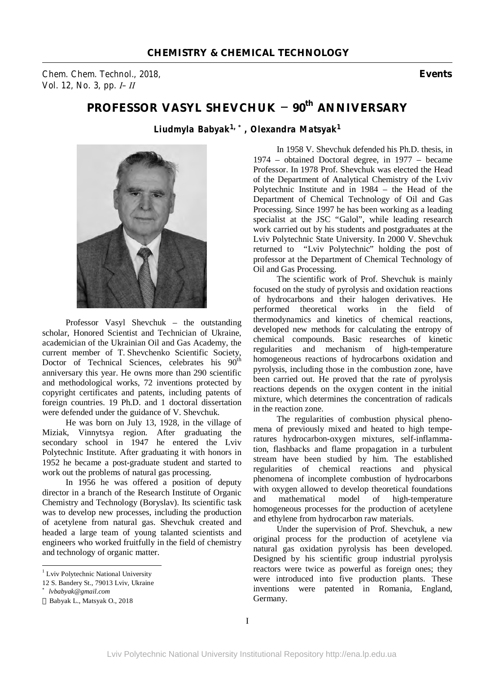*Chem. Chem. Technol., 2018,* **Events** *Vol. 12, No. 3, pp. І–ІІ* 

## **PROFESSOR VASYL SHEVCHUK – 90th ANNIVERSARY**

*Liudmyla Babyak1, \*, Olexandra Matsyak<sup>1</sup>*



Professor Vasyl Shevchuk – the outstanding scholar, Honored Scientist and Technician of Ukraine, academician of the Ukrainian Oil and Gas Academy, the current member of T. Shevchenko Scientific Society, Doctor of Technical Sciences, celebrates his  $90^{th}$ anniversary this year. He owns more than 290 scientific and methodological works, 72 inventions protected by copyright certificates and patents, including patents of foreign countries. 19 Ph.D. and 1 doctoral dissertation were defended under the guidance of V. Shevchuk.

He was born on July 13, 1928, in the village of Miziak, Vinnytsya region. After graduating the secondary school in 1947 he entered the Lviv Polytechnic Institute. After graduating it with honors in 1952 he became a post-graduate student and started to work out the problems of natural gas processing.

In 1956 he was offered a position of deputy director in a branch of the Research Institute of Organic Chemistry and Technology (Boryslav). Its scientific task was to develop new processes, including the production of acetylene from natural gas. Shevchuk created and headed a large team of young talanted scientists and engineers who worked fruitfully in the field of chemistry and technology of organic matter.

 $\overline{a}$ 

In 1958 V. Shevchuk defended his Ph.D. thesis, in 1974 – obtained Doctoral degree, in 1977 – became Professor. In 1978 Prof. Shevchuk was elected the Head of the Department of Analytical Chemistry of the Lviv Polytechnic Institute and in 1984 – the Head of the Department of Chemical Technology of Oil and Gas Processing. Since 1997 he has been working as a leading specialist at the JSC "Galol", while leading research work carried out by his students and postgraduates at the Lviv Polytechnic State University. In 2000 V. Shevchuk returned to "Lviv Polytechnic" holding the post of professor at the Department of Chemical Technology of Oil and Gas Processing.

The scientific work of Prof. Shevchuk is mainly focused on the study of pyrolysis and oxidation reactions of hydrocarbons and their halogen derivatives. He performed theoretical works in the field of thermodynamics and kinetics of chemical reactions, developed new methods for calculating the entropy of chemical compounds. Basic researches of kinetic regularities and mechanism of high-temperature homogeneous reactions of hydrocarbons oxidation and pyrolysis, including those in the combustion zone, have been carried out. He proved that the rate of pyrolysis reactions depends on the oxygen content in the initial mixture, which determines the concentration of radicals in the reaction zone.

The regularities of combustion physical phenomena of previously mixed and heated to high temperatures hydrocarbon-oxygen mixtures, self-inflammation, flashbacks and flame propagation in a turbulent stream have been studied by him. The established regularities of chemical reactions and physical phenomena of incomplete combustion of hydrocarbons with oxygen allowed to develop theoretical foundations and mathematical model of high-temperature homogeneous processes for the production of acetylene and ethylene from hydrocarbon raw materials.

Under the supervision of Prof. Shevchuk, a new original process for the production of acetylene via natural gas oxidation pyrolysis has been developed. Designed by his scientific group industrial pyrolysis reactors were twice as powerful as foreign ones; they were introduced into five production plants. These inventions were patented in Romania, England, Germany.

<sup>&</sup>lt;sup>1</sup> Lviv Polytechnic National University

<sup>12</sup> S. Bandery St., 79013 Lviv, Ukraine

*<sup>\*</sup> lvbabyak@gmail.com* 

Babyak L., Matsyak O., 2018